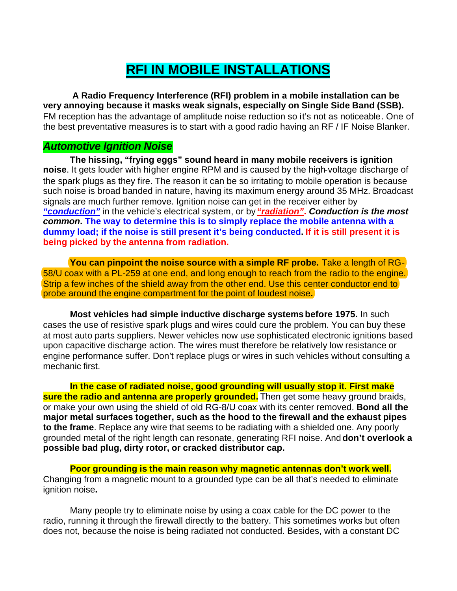## **RFI IN MOBILE INSTALLATIONS**

 **A Radio Frequency Interference (RFI) problem in a mobile installation can be very annoying because it masks weak signals, especially on Single Side Band (SSB).**  FM reception has the advantage of amplitude noise reduction so it's not as noticeable*.* One of the best preventative measures is to start with a good radio having an RF / IF Noise Blanker.

## *Automotive Ignition Noise*

**The hissing, "frying eggs" sound heard in many mobile receivers is ignition noise**. It gets louder with higher engine RPM and is caused by the high-voltage discharge of the spark plugs as they fire. The reason it can be so irritating to mobile operation is because such noise is broad banded in nature, having its maximum energy around 35 MHz. Broadcast signals are much further remove. Ignition noise can get in the receiver either by *"conduction"* in the vehicle's electrical system, or by *"radiation"***.** *Conduction is the most common***. The way to determine this is to simply replace the mobile antenna with a dummy load; if the noise is still present it's being conducted. If it is still present it is being picked by the antenna from radiation.**

**You can pinpoint the noise source with a simple RF probe.** Take a length of RG-58/U coax with a PL-259 at one end, and long enough to reach from the radio to the engine. Strip a few inches of the shield away from the other end. Use this center conductor end to probe around the engine compartment for the point of loudest noise**.**

**Most vehicles had simple inductive discharge systems before 1975.** In such cases the use of resistive spark plugs and wires could cure the problem. You can buy these at most auto parts suppliers. Newer vehicles now use sophisticated electronic ignitions based upon capacitive discharge action. The wires must therefore be relatively low resistance or engine performance suffer. Don't replace plugs or wires in such vehicles without consulting a mechanic first.

**In the case of radiated noise, good grounding will usually stop it. First make sure the radio and antenna are properly grounded.** Then get some heavy ground braids, or make your own using the shield of old RG-8/U coax with its center removed. **Bond all the major metal surfaces together, such as the hood to the firewall and the exhaust pipes to the frame**. Replace any wire that seems to be radiating with a shielded one. Any poorly grounded metal of the right length can resonate, generating RFI noise. And **don't overlook a possible bad plug, dirty rotor, or cracked distributor cap.**

**Poor grounding is the main reason why magnetic antennas don't work well.** Changing from a magnetic mount to a grounded type can be all that's needed to eliminate ignition noise**.**

Many people try to eliminate noise by using a coax cable for the DC power to the radio, running it through the firewall directly to the battery. This sometimes works but often does not, because the noise is being radiated not conducted. Besides, with a constant DC